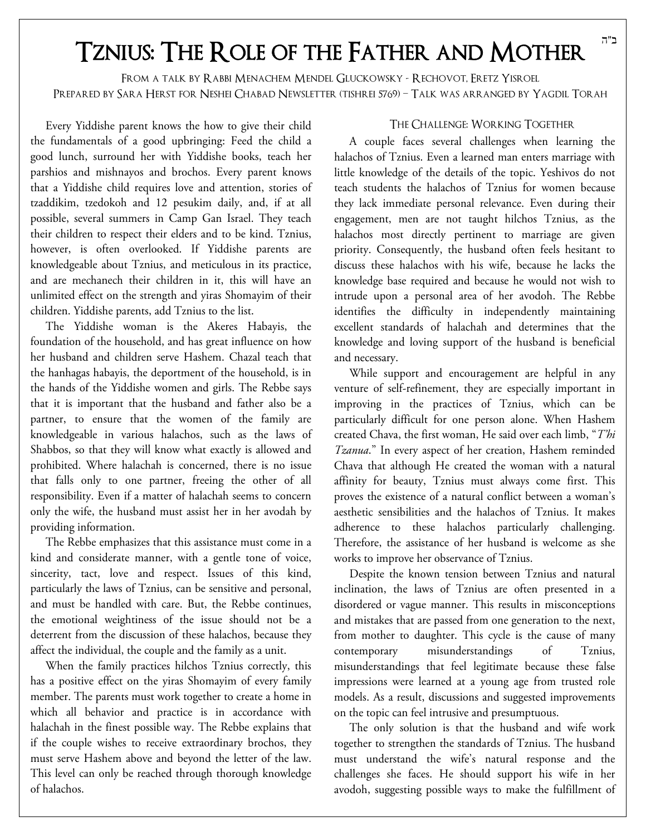## Tznius: The Role of the Father and Mother

From a talk by Rabbi Menachem Mendel Gluckowsky - Rechovot, Eretz Yisroel Prepared by Sara Herst for Neshei Chabad Newsletter (tishrei 5769) – Talk was arranged by Yagdil Torah

Every Yiddishe parent knows the how to give their child the fundamentals of a good upbringing: Feed the child a good lunch, surround her with Yiddishe books, teach her parshios and mishnayos and brochos. Every parent knows that a Yiddishe child requires love and attention, stories of tzaddikim, tzedokoh and 12 pesukim daily, and, if at all possible, several summers in Camp Gan Israel. They teach their children to respect their elders and to be kind. Tznius, however, is often overlooked. If Yiddishe parents are knowledgeable about Tznius, and meticulous in its practice, and are mechanech their children in it, this will have an unlimited effect on the strength and yiras Shomayim of their children. Yiddishe parents, add Tznius to the list.

The Yiddishe woman is the Akeres Habayis, the foundation of the household, and has great influence on how her husband and children serve Hashem. Chazal teach that the hanhagas habayis, the deportment of the household, is in the hands of the Yiddishe women and girls. The Rebbe says that it is important that the husband and father also be a partner, to ensure that the women of the family are knowledgeable in various halachos, such as the laws of Shabbos, so that they will know what exactly is allowed and prohibited. Where halachah is concerned, there is no issue that falls only to one partner, freeing the other of all responsibility. Even if a matter of halachah seems to concern only the wife, the husband must assist her in her avodah by providing information.

The Rebbe emphasizes that this assistance must come in a kind and considerate manner, with a gentle tone of voice, sincerity, tact, love and respect. Issues of this kind, particularly the laws of Tznius, can be sensitive and personal, and must be handled with care. But, the Rebbe continues, the emotional weightiness of the issue should not be a deterrent from the discussion of these halachos, because they affect the individual, the couple and the family as a unit.

When the family practices hilchos Tznius correctly, this has a positive effect on the yiras Shomayim of every family member. The parents must work together to create a home in which all behavior and practice is in accordance with halachah in the finest possible way. The Rebbe explains that if the couple wishes to receive extraordinary brochos, they must serve Hashem above and beyond the letter of the law. This level can only be reached through thorough knowledge of halachos.

#### The Challenge: Working Together

A couple faces several challenges when learning the halachos of Tznius. Even a learned man enters marriage with little knowledge of the details of the topic. Yeshivos do not teach students the halachos of Tznius for women because they lack immediate personal relevance. Even during their engagement, men are not taught hilchos Tznius, as the halachos most directly pertinent to marriage are given priority. Consequently, the husband often feels hesitant to discuss these halachos with his wife, because he lacks the knowledge base required and because he would not wish to intrude upon a personal area of her avodoh. The Rebbe identifies the difficulty in independently maintaining excellent standards of halachah and determines that the knowledge and loving support of the husband is beneficial and necessary.

While support and encouragement are helpful in any venture of self-refinement, they are especially important in improving in the practices of Tznius, which can be particularly difficult for one person alone. When Hashem created Chava, the first woman, He said over each limb, "*T'hi Tzanua*." In every aspect of her creation, Hashem reminded Chava that although He created the woman with a natural affinity for beauty, Tznius must always come first. This proves the existence of a natural conflict between a woman's aesthetic sensibilities and the halachos of Tznius. It makes adherence to these halachos particularly challenging. Therefore, the assistance of her husband is welcome as she works to improve her observance of Tznius.

Despite the known tension between Tznius and natural inclination, the laws of Tznius are often presented in a disordered or vague manner. This results in misconceptions and mistakes that are passed from one generation to the next, from mother to daughter. This cycle is the cause of many contemporary misunderstandings of Tznius, misunderstandings that feel legitimate because these false impressions were learned at a young age from trusted role models. As a result, discussions and suggested improvements on the topic can feel intrusive and presumptuous.

The only solution is that the husband and wife work together to strengthen the standards of Tznius. The husband must understand the wife's natural response and the challenges she faces. He should support his wife in her avodoh, suggesting possible ways to make the fulfillment of

ב"ה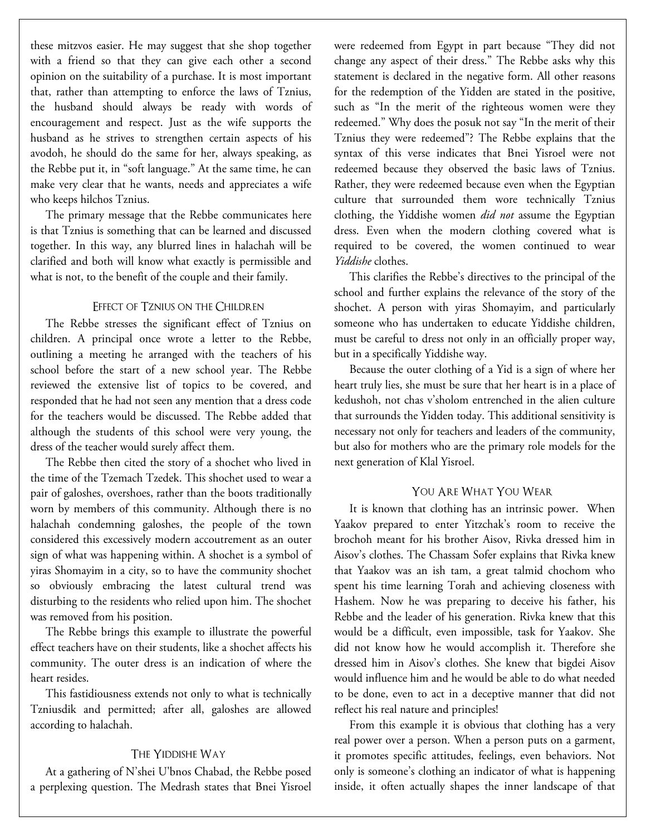these mitzvos easier. He may suggest that she shop together with a friend so that they can give each other a second opinion on the suitability of a purchase. It is most important that, rather than attempting to enforce the laws of Tznius, the husband should always be ready with words of encouragement and respect. Just as the wife supports the husband as he strives to strengthen certain aspects of his avodoh, he should do the same for her, always speaking, as the Rebbe put it, in "soft language." At the same time, he can make very clear that he wants, needs and appreciates a wife who keeps hilchos Tznius.

The primary message that the Rebbe communicates here is that Tznius is something that can be learned and discussed together. In this way, any blurred lines in halachah will be clarified and both will know what exactly is permissible and what is not, to the benefit of the couple and their family.

#### Effect of Tznius on the Children

The Rebbe stresses the significant effect of Tznius on children. A principal once wrote a letter to the Rebbe, outlining a meeting he arranged with the teachers of his school before the start of a new school year. The Rebbe reviewed the extensive list of topics to be covered, and responded that he had not seen any mention that a dress code for the teachers would be discussed. The Rebbe added that although the students of this school were very young, the dress of the teacher would surely affect them.

The Rebbe then cited the story of a shochet who lived in the time of the Tzemach Tzedek. This shochet used to wear a pair of galoshes, overshoes, rather than the boots traditionally worn by members of this community. Although there is no halachah condemning galoshes, the people of the town considered this excessively modern accoutrement as an outer sign of what was happening within. A shochet is a symbol of yiras Shomayim in a city, so to have the community shochet so obviously embracing the latest cultural trend was disturbing to the residents who relied upon him. The shochet was removed from his position.

The Rebbe brings this example to illustrate the powerful effect teachers have on their students, like a shochet affects his community. The outer dress is an indication of where the heart resides.

This fastidiousness extends not only to what is technically Tzniusdik and permitted; after all, galoshes are allowed according to halachah.

#### The Yiddishe Way

At a gathering of N'shei U'bnos Chabad, the Rebbe posed a perplexing question. The Medrash states that Bnei Yisroel were redeemed from Egypt in part because "They did not change any aspect of their dress." The Rebbe asks why this statement is declared in the negative form. All other reasons for the redemption of the Yidden are stated in the positive, such as "In the merit of the righteous women were they redeemed." Why does the posuk not say "In the merit of their Tznius they were redeemed"? The Rebbe explains that the syntax of this verse indicates that Bnei Yisroel were not redeemed because they observed the basic laws of Tznius. Rather, they were redeemed because even when the Egyptian culture that surrounded them wore technically Tznius clothing, the Yiddishe women *did not* assume the Egyptian dress. Even when the modern clothing covered what is required to be covered, the women continued to wear *Yiddishe* clothes.

This clarifies the Rebbe's directives to the principal of the school and further explains the relevance of the story of the shochet. A person with yiras Shomayim, and particularly someone who has undertaken to educate Yiddishe children, must be careful to dress not only in an officially proper way, but in a specifically Yiddishe way.

Because the outer clothing of a Yid is a sign of where her heart truly lies, she must be sure that her heart is in a place of kedushoh, not chas v'sholom entrenched in the alien culture that surrounds the Yidden today. This additional sensitivity is necessary not only for teachers and leaders of the community, but also for mothers who are the primary role models for the next generation of Klal Yisroel.

#### YOU ARE WHAT YOU WEAR

It is known that clothing has an intrinsic power. When Yaakov prepared to enter Yitzchak's room to receive the brochoh meant for his brother Aisov, Rivka dressed him in Aisov's clothes. The Chassam Sofer explains that Rivka knew that Yaakov was an ish tam, a great talmid chochom who spent his time learning Torah and achieving closeness with Hashem. Now he was preparing to deceive his father, his Rebbe and the leader of his generation. Rivka knew that this would be a difficult, even impossible, task for Yaakov. She did not know how he would accomplish it. Therefore she dressed him in Aisov's clothes. She knew that bigdei Aisov would influence him and he would be able to do what needed to be done, even to act in a deceptive manner that did not reflect his real nature and principles!

From this example it is obvious that clothing has a very real power over a person. When a person puts on a garment, it promotes specific attitudes, feelings, even behaviors. Not only is someone's clothing an indicator of what is happening inside, it often actually shapes the inner landscape of that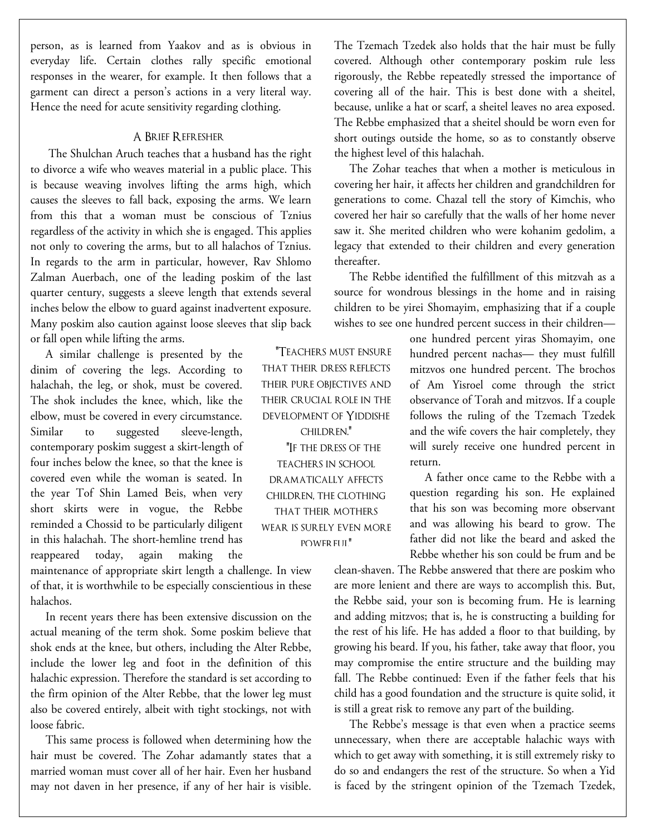person, as is learned from Yaakov and as is obvious in everyday life. Certain clothes rally specific emotional responses in the wearer, for example. It then follows that a garment can direct a person's actions in a very literal way. Hence the need for acute sensitivity regarding clothing.

#### A Brief Refresher

 The Shulchan Aruch teaches that a husband has the right to divorce a wife who weaves material in a public place. This is because weaving involves lifting the arms high, which causes the sleeves to fall back, exposing the arms. We learn from this that a woman must be conscious of Tznius regardless of the activity in which she is engaged. This applies not only to covering the arms, but to all halachos of Tznius. In regards to the arm in particular, however, Rav Shlomo Zalman Auerbach, one of the leading poskim of the last quarter century, suggests a sleeve length that extends several inches below the elbow to guard against inadvertent exposure. Many poskim also caution against loose sleeves that slip back or fall open while lifting the arms.

A similar challenge is presented by the dinim of covering the legs. According to halachah, the leg, or shok, must be covered. The shok includes the knee, which, like the elbow, must be covered in every circumstance. Similar to suggested sleeve-length, contemporary poskim suggest a skirt-length of four inches below the knee, so that the knee is covered even while the woman is seated. In the year Tof Shin Lamed Beis, when very short skirts were in vogue, the Rebbe reminded a Chossid to be particularly diligent in this halachah. The short-hemline trend has reappeared today, again making the

maintenance of appropriate skirt length a challenge. In view of that, it is worthwhile to be especially conscientious in these halachos.

In recent years there has been extensive discussion on the actual meaning of the term shok. Some poskim believe that shok ends at the knee, but others, including the Alter Rebbe, include the lower leg and foot in the definition of this halachic expression. Therefore the standard is set according to the firm opinion of the Alter Rebbe, that the lower leg must also be covered entirely, albeit with tight stockings, not with loose fabric.

This same process is followed when determining how the hair must be covered. The Zohar adamantly states that a married woman must cover all of her hair. Even her husband may not daven in her presence, if any of her hair is visible.

"Teachers must ensure that their dress reflects their pure objectives and their crucial role in the development of Yiddishe children." "If the dress of the teachers in school dramatically affects children, the clothing that their mothers wear is surely even more POWER FUL"

The Tzemach Tzedek also holds that the hair must be fully covered. Although other contemporary poskim rule less rigorously, the Rebbe repeatedly stressed the importance of covering all of the hair. This is best done with a sheitel, because, unlike a hat or scarf, a sheitel leaves no area exposed. The Rebbe emphasized that a sheitel should be worn even for short outings outside the home, so as to constantly observe the highest level of this halachah.

The Zohar teaches that when a mother is meticulous in covering her hair, it affects her children and grandchildren for generations to come. Chazal tell the story of Kimchis, who covered her hair so carefully that the walls of her home never saw it. She merited children who were kohanim gedolim, a legacy that extended to their children and every generation thereafter.

The Rebbe identified the fulfillment of this mitzvah as a source for wondrous blessings in the home and in raising children to be yirei Shomayim, emphasizing that if a couple wishes to see one hundred percent success in their children—

> one hundred percent yiras Shomayim, one hundred percent nachas— they must fulfill mitzvos one hundred percent. The brochos of Am Yisroel come through the strict observance of Torah and mitzvos. If a couple follows the ruling of the Tzemach Tzedek and the wife covers the hair completely, they will surely receive one hundred percent in return.

> A father once came to the Rebbe with a question regarding his son. He explained that his son was becoming more observant and was allowing his beard to grow. The father did not like the beard and asked the Rebbe whether his son could be frum and be

clean-shaven. The Rebbe answered that there are poskim who are more lenient and there are ways to accomplish this. But, the Rebbe said, your son is becoming frum. He is learning and adding mitzvos; that is, he is constructing a building for the rest of his life. He has added a floor to that building, by growing his beard. If you, his father, take away that floor, you may compromise the entire structure and the building may fall. The Rebbe continued: Even if the father feels that his child has a good foundation and the structure is quite solid, it is still a great risk to remove any part of the building.

The Rebbe's message is that even when a practice seems unnecessary, when there are acceptable halachic ways with which to get away with something, it is still extremely risky to do so and endangers the rest of the structure. So when a Yid is faced by the stringent opinion of the Tzemach Tzedek,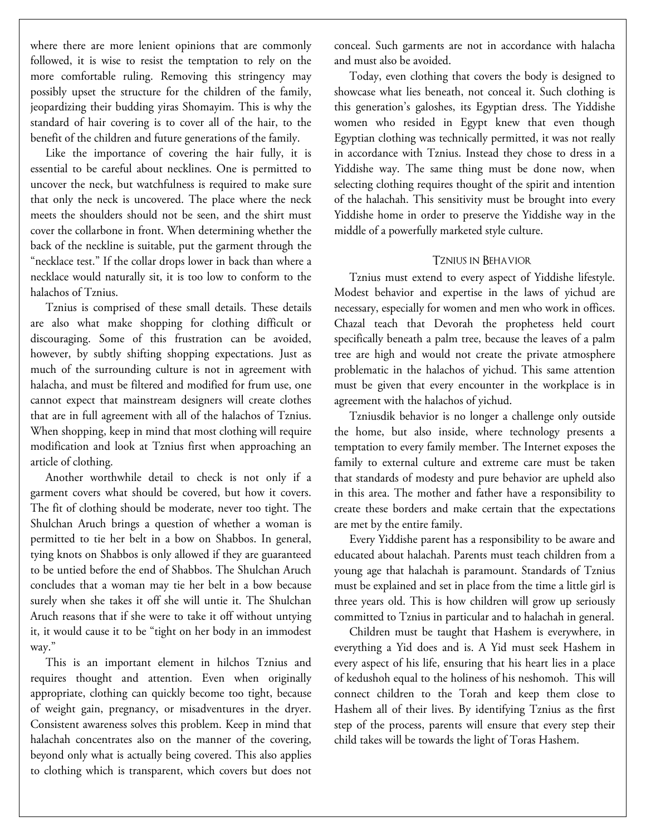where there are more lenient opinions that are commonly followed, it is wise to resist the temptation to rely on the more comfortable ruling. Removing this stringency may possibly upset the structure for the children of the family, jeopardizing their budding yiras Shomayim. This is why the standard of hair covering is to cover all of the hair, to the benefit of the children and future generations of the family.

Like the importance of covering the hair fully, it is essential to be careful about necklines. One is permitted to uncover the neck, but watchfulness is required to make sure that only the neck is uncovered. The place where the neck meets the shoulders should not be seen, and the shirt must cover the collarbone in front. When determining whether the back of the neckline is suitable, put the garment through the "necklace test." If the collar drops lower in back than where a necklace would naturally sit, it is too low to conform to the halachos of Tznius.

Tznius is comprised of these small details. These details are also what make shopping for clothing difficult or discouraging. Some of this frustration can be avoided, however, by subtly shifting shopping expectations. Just as much of the surrounding culture is not in agreement with halacha, and must be filtered and modified for frum use, one cannot expect that mainstream designers will create clothes that are in full agreement with all of the halachos of Tznius. When shopping, keep in mind that most clothing will require modification and look at Tznius first when approaching an article of clothing.

Another worthwhile detail to check is not only if a garment covers what should be covered, but how it covers. The fit of clothing should be moderate, never too tight. The Shulchan Aruch brings a question of whether a woman is permitted to tie her belt in a bow on Shabbos. In general, tying knots on Shabbos is only allowed if they are guaranteed to be untied before the end of Shabbos. The Shulchan Aruch concludes that a woman may tie her belt in a bow because surely when she takes it off she will untie it. The Shulchan Aruch reasons that if she were to take it off without untying it, it would cause it to be "tight on her body in an immodest way."

This is an important element in hilchos Tznius and requires thought and attention. Even when originally appropriate, clothing can quickly become too tight, because of weight gain, pregnancy, or misadventures in the dryer. Consistent awareness solves this problem. Keep in mind that halachah concentrates also on the manner of the covering, beyond only what is actually being covered. This also applies to clothing which is transparent, which covers but does not

conceal. Such garments are not in accordance with halacha and must also be avoided.

Today, even clothing that covers the body is designed to showcase what lies beneath, not conceal it. Such clothing is this generation's galoshes, its Egyptian dress. The Yiddishe women who resided in Egypt knew that even though Egyptian clothing was technically permitted, it was not really in accordance with Tznius. Instead they chose to dress in a Yiddishe way. The same thing must be done now, when selecting clothing requires thought of the spirit and intention of the halachah. This sensitivity must be brought into every Yiddishe home in order to preserve the Yiddishe way in the middle of a powerfully marketed style culture.

#### Tznius in Behavior

Tznius must extend to every aspect of Yiddishe lifestyle. Modest behavior and expertise in the laws of yichud are necessary, especially for women and men who work in offices. Chazal teach that Devorah the prophetess held court specifically beneath a palm tree, because the leaves of a palm tree are high and would not create the private atmosphere problematic in the halachos of yichud. This same attention must be given that every encounter in the workplace is in agreement with the halachos of yichud.

Tzniusdik behavior is no longer a challenge only outside the home, but also inside, where technology presents a temptation to every family member. The Internet exposes the family to external culture and extreme care must be taken that standards of modesty and pure behavior are upheld also in this area. The mother and father have a responsibility to create these borders and make certain that the expectations are met by the entire family.

Every Yiddishe parent has a responsibility to be aware and educated about halachah. Parents must teach children from a young age that halachah is paramount. Standards of Tznius must be explained and set in place from the time a little girl is three years old. This is how children will grow up seriously committed to Tznius in particular and to halachah in general.

Children must be taught that Hashem is everywhere, in everything a Yid does and is. A Yid must seek Hashem in every aspect of his life, ensuring that his heart lies in a place of kedushoh equal to the holiness of his neshomoh. This will connect children to the Torah and keep them close to Hashem all of their lives. By identifying Tznius as the first step of the process, parents will ensure that every step their child takes will be towards the light of Toras Hashem.